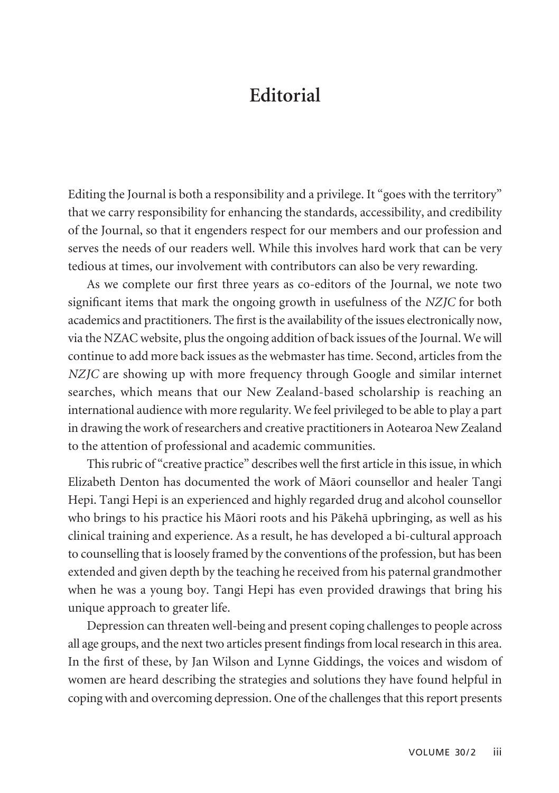## **Editorial**

Editing the Journal is both a responsibility and a privilege. It "goes with the territory" that we carry responsibility for enhancing the standards, accessibility, and credibility of the Journal, so that it engenders respect for our members and our profession and serves the needs of our readers well. While this involves hard work that can be very tedious at times, our involvement with contributors can also be very rewarding.

As we complete our first three years as co-editors of the Journal, we note two significant items that mark the ongoing growth in usefulness of the *NZJC* for both academics and practitioners. The first is the availability of the issues electronically now, via the NZAC website, plus the ongoing addition of back issues of the Journal. We will continue to add more back issues as the webmaster has time. Second, articles from the *NZJC* are showing up with more frequency through Google and similar internet searches, which means that our New Zealand-based scholarship is reaching an international audience with more regularity. We feel privileged to be able to play a part in drawing the work of researchers and creative practitioners in Aotearoa New Zealand to the attention of professional and academic communities.

This rubric of "creative practice" describes well the first article in this issue, in which Elizabeth Denton has documented the work of Mäori counsellor and healer Tangi Hepi. Tangi Hepi is an experienced and highly regarded drug and alcohol counsellor who brings to his practice his Mäori roots and his Päkehä upbringing, as well as his clinical training and experience. As a result, he has developed a bi-cultural approach to counselling that is loosely framed by the conventions of the profession, but has been extended and given depth by the teaching he received from his paternal grandmother when he was a young boy. Tangi Hepi has even provided drawings that bring his unique approach to greater life.

Depression can threaten well-being and present coping challenges to people across all age groups, and the next two articles present findings from local research in this area. In the first of these, by Jan Wilson and Lynne Giddings, the voices and wisdom of women are heard describing the strategies and solutions they have found helpful in coping with and overcoming depression. One of the challenges that this report presents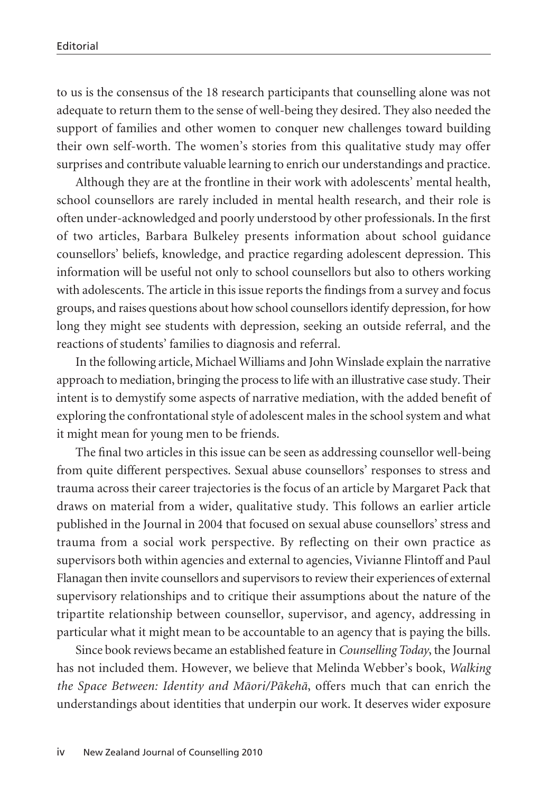to us is the consensus of the 18 research participants that counselling alone was not adequate to return them to the sense of well-being they desired. They also needed the support of families and other women to conquer new challenges toward building their own self-worth. The women's stories from this qualitative study may offer surprises and contribute valuable learning to enrich our understandings and practice.

Although they are at the frontline in their work with adolescents' mental health, school counsellors are rarely included in mental health research, and their role is often under-acknowledged and poorly understood by other professionals. In the first of two articles, Barbara Bulkeley presents information about school guidance counsellors' beliefs, knowledge, and practice regarding adolescent depression. This information will be useful not only to school counsellors but also to others working with adolescents. The article in this issue reports the findings from a survey and focus groups, and raises questions about how school counsellors identify depression, for how long they might see students with depression, seeking an outside referral, and the reactions of students' families to diagnosis and referral.

In the following article, Michael Williams and John Winslade explain the narrative approach to mediation, bringing the process to life with an illustrative case study. Their intent is to demystify some aspects of narrative mediation, with the added benefit of exploring the confrontational style of adolescent males in the school system and what it might mean for young men to be friends.

The final two articles in this issue can be seen as addressing counsellor well-being from quite different perspectives. Sexual abuse counsellors' responses to stress and trauma across their career trajectories is the focus of an article by Margaret Pack that draws on material from a wider, qualitative study. This follows an earlier article published in the Journal in 2004 that focused on sexual abuse counsellors' stress and trauma from a social work perspective. By reflecting on their own practice as supervisors both within agencies and external to agencies, Vivianne Flintoff and Paul Flanagan then invite counsellors and supervisors to review their experiences of external supervisory relationships and to critique their assumptions about the nature of the tripartite relationship between counsellor, supervisor, and agency, addressing in particular what it might mean to be accountable to an agency that is paying the bills.

Since book reviews became an established feature in *Counselling Today*, the Journal has not included them. However, we believe that Melinda Webber's book, *Walking the Space Between: Identity and Mäori/Päkehä*, offers much that can enrich the understandings about identities that underpin our work. It deserves wider exposure